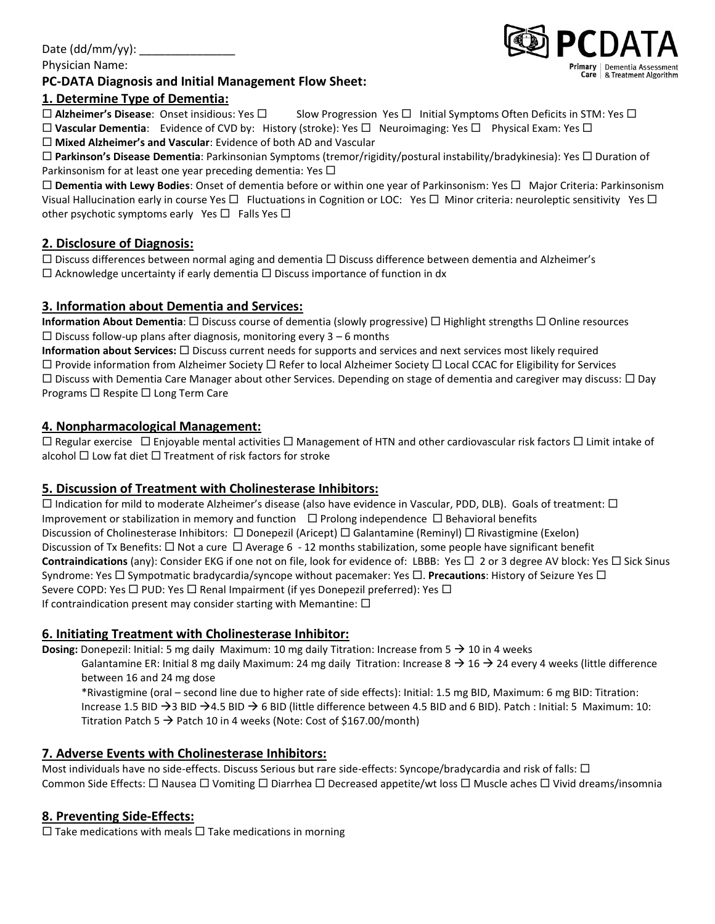# Date  $(dd/mm/yy)$ :

Physician Name:

### **PC-DATA Diagnosis and Initial Management Flow Sheet:**

# **1. Determine Type of Dementia:**

**Alzheimer's Disease**: Onset insidious: Yes Slow Progression Yes Initial Symptoms Often Deficits in STM: Yes

□ Vascular Dementia: Evidence of CVD by: History (stroke): Yes □ Neuroimaging: Yes □ Physical Exam: Yes □ **Mixed Alzheimer's and Vascular**: Evidence of both AD and Vascular

 **Parkinson's Disease Dementia**: Parkinsonian Symptoms (tremor/rigidity/postural instability/bradykinesia): Yes Duration of Parkinsonism for at least one year preceding dementia: Yes  $\Box$ 

□ Dementia with Lewy Bodies: Onset of dementia before or within one year of Parkinsonism: Yes □ Major Criteria: Parkinsonism Visual Hallucination early in course Yes  $\Box$  Fluctuations in Cognition or LOC: Yes  $\Box$  Minor criteria: neuroleptic sensitivity Yes  $\Box$ other psychotic symptoms early Yes  $\Box$  Falls Yes  $\Box$ 

# **2. Disclosure of Diagnosis:**

 $\Box$  Discuss differences between normal aging and dementia  $\Box$  Discuss difference between dementia and Alzheimer's  $\Box$  Acknowledge uncertainty if early dementia  $\Box$  Discuss importance of function in dx

# **3. Information about Dementia and Services:**

**Information About Dementia**: □ Discuss course of dementia (slowly progressive) □ Highlight strengths □ Online resources  $\Box$  Discuss follow-up plans after diagnosis, monitoring every 3 – 6 months

**Information about Services:** □ Discuss current needs for supports and services and next services most likely required  $\Box$  Provide information from Alzheimer Society  $\Box$  Refer to local Alzheimer Society  $\Box$  Local CCAC for Eligibility for Services  $\Box$  Discuss with Dementia Care Manager about other Services. Depending on stage of dementia and caregiver may discuss:  $\Box$  Day Programs  $\Box$  Respite  $\Box$  Long Term Care

### **4. Nonpharmacological Management:**

 $\Box$  Regular exercise  $\Box$  Enjoyable mental activities  $\Box$  Management of HTN and other cardiovascular risk factors  $\Box$  Limit intake of alcohol  $\Box$  Low fat diet  $\Box$  Treatment of risk factors for stroke

### **5. Discussion of Treatment with Cholinesterase Inhibitors:**

 $\Box$  Indication for mild to moderate Alzheimer's disease (also have evidence in Vascular, PDD, DLB). Goals of treatment:  $\Box$ Improvement or stabilization in memory and function  $\Box$  Prolong independence  $\Box$  Behavioral benefits Discussion of Cholinesterase Inhibitors: □ Donepezil (Aricept) □ Galantamine (Reminyl) □ Rivastigmine (Exelon) Discussion of Tx Benefits:  $\Box$  Not a cure  $\Box$  Average 6 - 12 months stabilization, some people have significant benefit **Contraindications** (any): Consider EKG if one not on file, look for evidence of: LBBB: Yes  $\Box$  2 or 3 degree AV block: Yes  $\Box$  Sick Sinus Syndrome: Yes  $\Box$  Sympotmatic bradycardia/syncope without pacemaker: Yes  $\Box$ . **Precautions**: History of Seizure Yes  $\Box$ Severe COPD: Yes  $\Box$  PUD: Yes  $\Box$  Renal Impairment (if yes Donepezil preferred): Yes  $\Box$ If contraindication present may consider starting with Memantine:  $\Box$ 

### **6. Initiating Treatment with Cholinesterase Inhibitor:**

**Dosing:** Donepezil: Initial: 5 mg daily Maximum: 10 mg daily Titration: Increase from  $5 \rightarrow 10$  in 4 weeks

Galantamine ER: Initial 8 mg daily Maximum: 24 mg daily Titration: Increase 8  $\rightarrow$  16  $\rightarrow$  24 every 4 weeks (little difference between 16 and 24 mg dose

\*Rivastigmine (oral – second line due to higher rate of side effects): Initial: 1.5 mg BID, Maximum: 6 mg BID: Titration: Increase 1.5 BID  $\rightarrow$  3 BID  $\rightarrow$  4.5 BID  $\rightarrow$  6 BID (little difference between 4.5 BID and 6 BID). Patch : Initial: 5 Maximum: 10: Titration Patch 5  $\rightarrow$  Patch 10 in 4 weeks (Note: Cost of \$167.00/month)

# **7. Adverse Events with Cholinesterase Inhibitors:**

Most individuals have no side-effects. Discuss Serious but rare side-effects: Syncope/bradycardia and risk of falls:  $\Box$ Common Side Effects:  $\Box$  Nausea  $\Box$  Vomiting  $\Box$  Diarrhea  $\Box$  Decreased appetite/wt loss  $\Box$  Muscle aches  $\Box$  Vivid dreams/insomnia

# **8. Preventing Side-Effects:**

 $\Box$  Take medications with meals  $\Box$  Take medications in morning